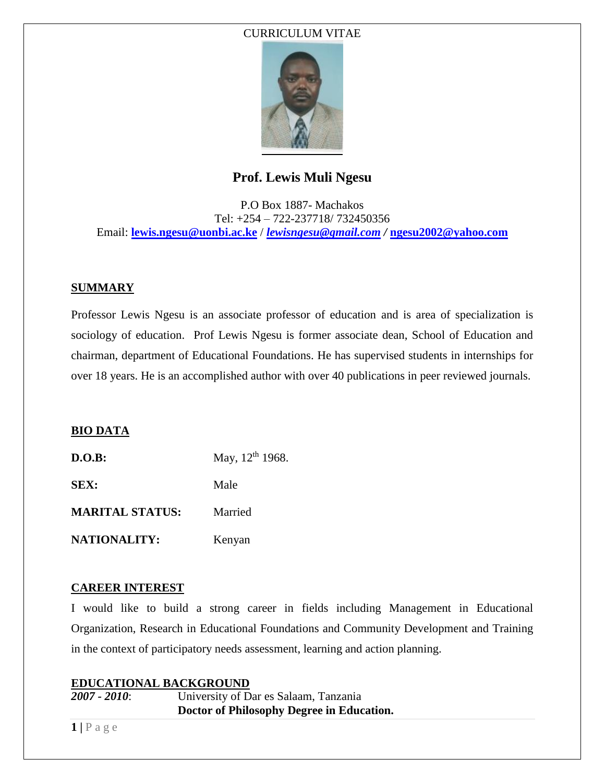### CURRICULUM VITAE



# **Prof. Lewis Muli Ngesu**

P.O Box 1887- Machakos Tel: +254 – 722-237718/ 732450356 Email: **[lewis.ngesu@uonbi.ac.ke](mailto:lewis.ngesu@uonbi.ac.ke)** / *[lewisngesu@gmail.com](mailto:lewisngesu@gmail.com) /* **[ngesu2002@yahoo.com](mailto:ngesu2002@yahoo.com)**

### **SUMMARY**

Professor Lewis Ngesu is an associate professor of education and is area of specialization is sociology of education. Prof Lewis Ngesu is former associate dean, School of Education and chairman, department of Educational Foundations. He has supervised students in internships for over 18 years. He is an accomplished author with over 40 publications in peer reviewed journals.

### **BIO DATA**

**D.O.B:** May, 12<sup>th</sup> 1968. **SEX:** Male **MARITAL STATUS:** Married NATIONALITY: Kenyan

### **CAREER INTEREST**

I would like to build a strong career in fields including Management in Educational Organization, Research in Educational Foundations and Community Development and Training in the context of participatory needs assessment, learning and action planning.

### **EDUCATIONAL BACKGROUND**

*2007 - 2010*: University of Dar es Salaam, Tanzania  **Doctor of Philosophy Degree in Education.**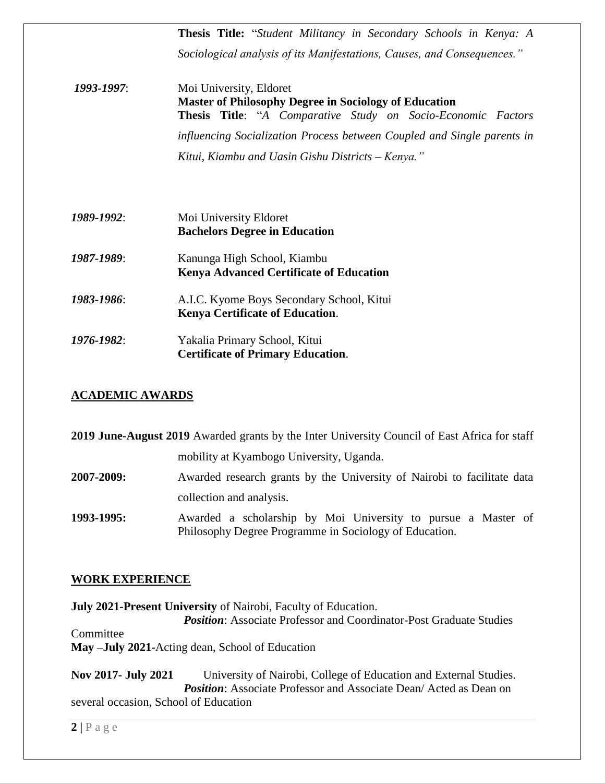**Thesis Title:** "*Student Militancy in Secondary Schools in Kenya: A Sociological analysis of its Manifestations, Causes, and Consequences." 1993-1997*: Moi University, Eldoret  **Master of Philosophy Degree in Sociology of Education Thesis Title**: "*A Comparative Study on Socio-Economic Factors influencing Socialization Process between Coupled and Single parents in Kitui, Kiambu and Uasin Gishu Districts – Kenya." 1989-1992*: Moi University Eldoret  **Bachelors Degree in Education** *1987-1989*: Kanunga High School, Kiambu  **Kenya Advanced Certificate of Education** *1983-1986*: A.I.C. Kyome Boys Secondary School, Kitui  **Kenya Certificate of Education**. *1976-1982*: Yakalia Primary School, Kitui  **Certificate of Primary Education**.

### **ACADEMIC AWARDS**

| 2019 June-August 2019 Awarded grants by the Inter University Council of East Africa for staff |                                                                                                                         |  |
|-----------------------------------------------------------------------------------------------|-------------------------------------------------------------------------------------------------------------------------|--|
|                                                                                               | mobility at Kyambogo University, Uganda.                                                                                |  |
| 2007-2009:                                                                                    | Awarded research grants by the University of Nairobi to facilitate data                                                 |  |
|                                                                                               | collection and analysis.                                                                                                |  |
| 1993-1995:                                                                                    | Awarded a scholarship by Moi University to pursue a Master of<br>Philosophy Degree Programme in Sociology of Education. |  |

### **WORK EXPERIENCE**

**July 2021-Present University** of Nairobi, Faculty of Education. *Position:* Associate Professor and Coordinator-Post Graduate Studies Committee **May –July 2021-**Acting dean, School of Education

**Nov 2017- July 2021** University of Nairobi, College of Education and External Studies. **Position:** Associate Professor and Associate Dean/ Acted as Dean on several occasion, School of Education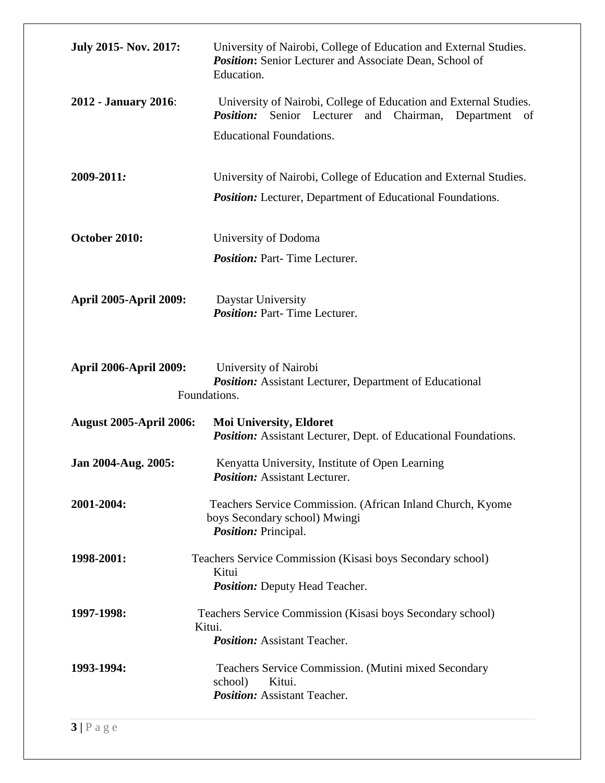| <b>July 2015- Nov. 2017:</b>   | University of Nairobi, College of Education and External Studies.<br><b>Position:</b> Senior Lecturer and Associate Dean, School of<br>Education.                                |
|--------------------------------|----------------------------------------------------------------------------------------------------------------------------------------------------------------------------------|
| <b>2012 - January 2016:</b>    | University of Nairobi, College of Education and External Studies.<br><b>Position:</b><br>Chairman,<br>Senior Lecturer and<br>Department<br>of<br><b>Educational Foundations.</b> |
| 2009-2011:                     | University of Nairobi, College of Education and External Studies.<br>Position: Lecturer, Department of Educational Foundations.                                                  |
| October 2010:                  | University of Dodoma<br><b>Position:</b> Part-Time Lecturer.                                                                                                                     |
| <b>April 2005-April 2009:</b>  | Daystar University<br><b>Position:</b> Part-Time Lecturer.                                                                                                                       |
| <b>April 2006-April 2009:</b>  | University of Nairobi<br><b>Position:</b> Assistant Lecturer, Department of Educational<br>Foundations.                                                                          |
| <b>August 2005-April 2006:</b> | <b>Moi University, Eldoret</b><br><b>Position:</b> Assistant Lecturer, Dept. of Educational Foundations.                                                                         |
| Jan 2004-Aug. 2005:            | Kenyatta University, Institute of Open Learning<br><i>Position:</i> Assistant Lecturer.                                                                                          |
| 2001-2004:                     | Teachers Service Commission. (African Inland Church, Kyome<br>boys Secondary school) Mwingi<br><i>Position: Principal.</i>                                                       |
| 1998-2001:                     | Teachers Service Commission (Kisasi boys Secondary school)<br>Kitui<br><b>Position:</b> Deputy Head Teacher.                                                                     |
| 1997-1998:                     | Teachers Service Commission (Kisasi boys Secondary school)<br>Kitui.<br><b>Position:</b> Assistant Teacher.                                                                      |
| 1993-1994:                     | Teachers Service Commission. (Mutini mixed Secondary<br>school)<br>Kitui.<br><b>Position:</b> Assistant Teacher.                                                                 |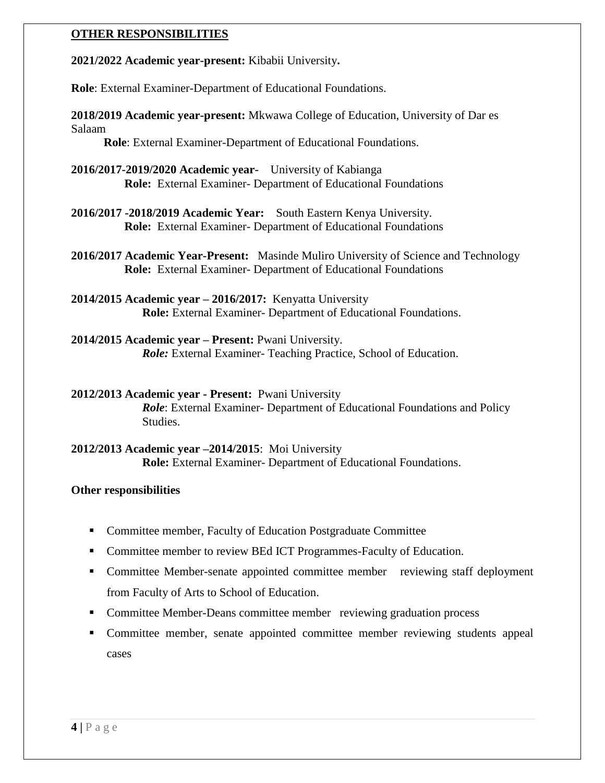### **OTHER RESPONSIBILITIES**

**2021/2022 Academic year-present:** Kibabii University**.**

**Role**: External Examiner-Department of Educational Foundations.

**2018/2019 Academic year-present:** Mkwawa College of Education, University of Dar es Salaam

**Role**: External Examiner-Department of Educational Foundations.

- **2016/2017-2019/2020 Academic year-** University of Kabianga  **Role:** External Examiner- Department of Educational Foundations
- **2016/2017 -2018/2019 Academic Year:** South Eastern Kenya University.  **Role:** External Examiner- Department of Educational Foundations

**2016/2017 Academic Year-Present:** Masinde Muliro University of Science and Technology  **Role:** External Examiner- Department of Educational Foundations

**2014/2015 Academic year – 2016/2017:** Kenyatta University **Role:** External Examiner- Department of Educational Foundations.

**2014/2015 Academic year – Present:** Pwani University. *Role:* External Examiner- Teaching Practice, School of Education.

**2012/2013 Academic year - Present:** Pwani University *Role*: External Examiner- Department of Educational Foundations and Policy Studies.

**2012/2013 Academic year –2014/2015**: Moi University **Role:** External Examiner- Department of Educational Foundations.

### **Other responsibilities**

- Committee member, Faculty of Education Postgraduate Committee
- Committee member to review BEd ICT Programmes-Faculty of Education.
- Committee Member-senate appointed committee member reviewing staff deployment from Faculty of Arts to School of Education.
- Committee Member-Deans committee member reviewing graduation process
- Committee member, senate appointed committee member reviewing students appeal cases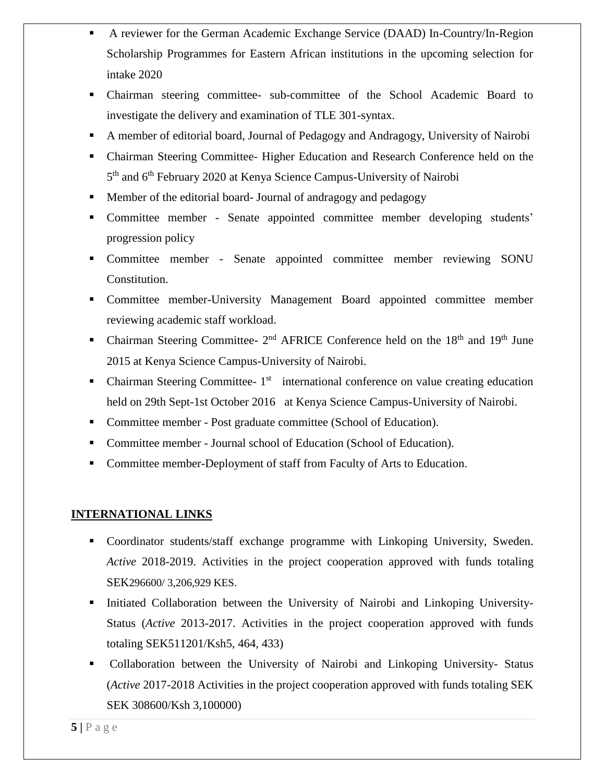- A reviewer for the German Academic Exchange Service (DAAD) In-Country/In-Region Scholarship Programmes for Eastern African institutions in the upcoming selection for intake 2020
- Chairman steering committee- sub-committee of the School Academic Board to investigate the delivery and examination of TLE 301-syntax.
- A member of editorial board, Journal of Pedagogy and Andragogy, University of Nairobi
- Chairman Steering Committee- Higher Education and Research Conference held on the 5<sup>th</sup> and 6<sup>th</sup> February 2020 at Kenya Science Campus-University of Nairobi
- Member of the editorial board- Journal of andragogy and pedagogy
- Committee member Senate appointed committee member developing students' progression policy
- Committee member Senate appointed committee member reviewing SONU Constitution.
- Committee member-University Management Board appointed committee member reviewing academic staff workload.
- Chairman Steering Committee-  $2<sup>nd</sup>$  AFRICE Conference held on the  $18<sup>th</sup>$  and  $19<sup>th</sup>$  June 2015 at Kenya Science Campus-University of Nairobi.
- Chairman Steering Committee- $1<sup>st</sup>$  international conference on value creating education held on 29th Sept-1st October 2016 at Kenya Science Campus-University of Nairobi.
- Committee member Post graduate committee (School of Education).
- Committee member Journal school of Education (School of Education).
- Committee member-Deployment of staff from Faculty of Arts to Education.

## **INTERNATIONAL LINKS**

- Coordinator students/staff exchange programme with Linkoping University, Sweden. *Active* 2018-2019. Activities in the project cooperation approved with funds totaling SEK296600/ 3,206,929 KES.
- Initiated Collaboration between the University of Nairobi and Linkoping University-Status (*Active* 2013-2017. Activities in the project cooperation approved with funds totaling SEK511201/Ksh5, 464, 433)
- Collaboration between the University of Nairobi and Linkoping University- Status (*Active* 2017-2018 Activities in the project cooperation approved with funds totaling SEK SEK 308600/Ksh 3,100000)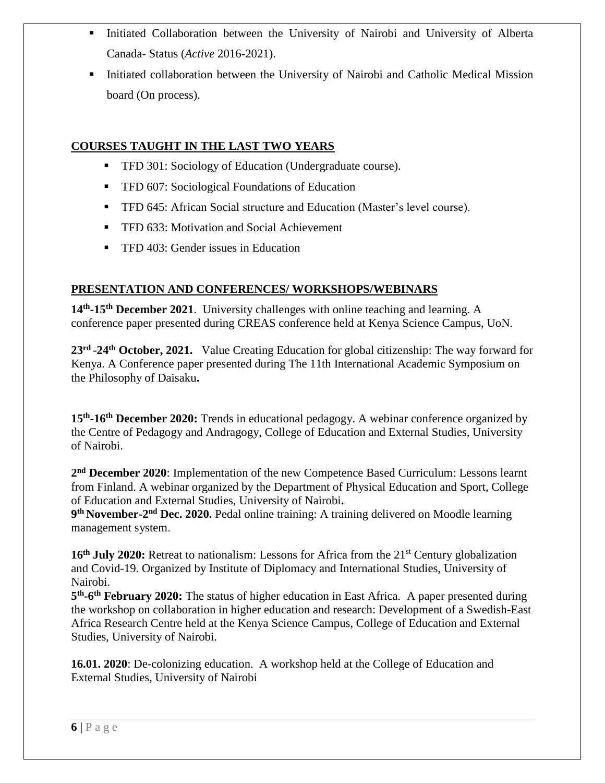- Initiated Collaboration between the University of Nairobi and University of Alberta Canada- Status (*Active* 2016-2021).
- **Initiated collaboration between the University of Nairobi and Catholic Medical Mission** board (On process).

# **COURSES TAUGHT IN THE LAST TWO YEARS**

- **TFD 301: Sociology of Education (Undergraduate course).**
- **TFD 607: Sociological Foundations of Education**
- **TFD 645: African Social structure and Education (Master's level course).**
- **TFD 633: Motivation and Social Achievement**
- **TFD 403: Gender issues in Education**

# **PRESENTATION AND CONFERENCES/ WORKSHOPS/WEBINARS**

**14th -15th December 2021**. University challenges with online teaching and learning. A conference paper presented during CREAS conference held at Kenya Science Campus, UoN.

**23rd -24th October, 2021.** Value Creating Education for global citizenship: The way forward for Kenya. A Conference paper presented during The 11th International Academic Symposium on the Philosophy of Daisaku**.**

**15th -16th December 2020:** Trends in educational pedagogy. A webinar conference organized by the Centre of Pedagogy and Andragogy, College of Education and External Studies, University of Nairobi.

**2 nd December 2020**: Implementation of the new Competence Based Curriculum: Lessons learnt from Finland. A webinar organized by the Department of Physical Education and Sport, College of Education and External Studies, University of Nairobi**.**

**9 th November-2 nd Dec. 2020.** Pedal online training: A training delivered on Moodle learning management system.

**16th July 2020:** Retreat to nationalism: Lessons for Africa from the 21st Century globalization and Covid-19. Organized by Institute of Diplomacy and International Studies, University of Nairobi.

5<sup>th</sup>-6<sup>th</sup> February 2020: The status of higher education in East Africa. A paper presented during the workshop on collaboration in higher education and research: Development of a Swedish-East Africa Research Centre held at the Kenya Science Campus, College of Education and External Studies, University of Nairobi.

**16.01. 2020**: De-colonizing education. A workshop held at the College of Education and External Studies, University of Nairobi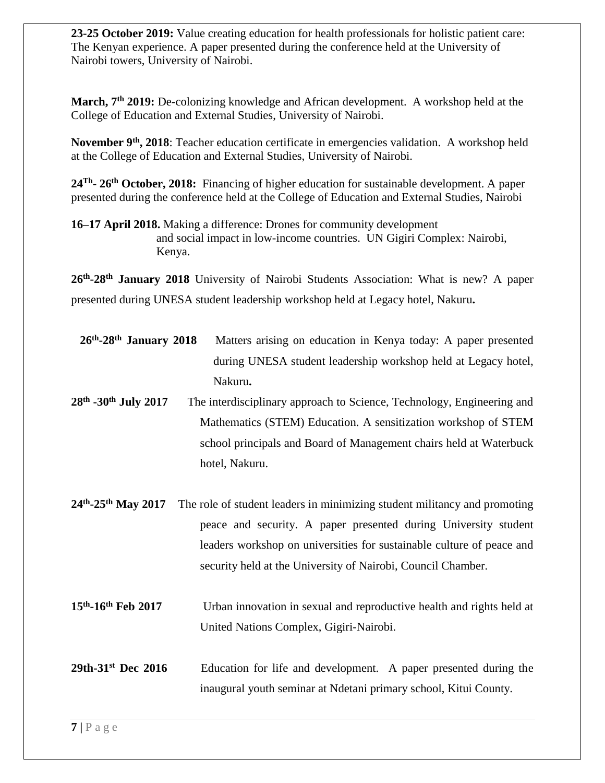**23-25 October 2019:** Value creating education for health professionals for holistic patient care: The Kenyan experience. A paper presented during the conference held at the University of Nairobi towers, University of Nairobi.

**March, 7th 2019:** De-colonizing knowledge and African development. A workshop held at the College of Education and External Studies, University of Nairobi.

**November 9th , 2018**: Teacher education certificate in emergencies validation. A workshop held at the College of Education and External Studies, University of Nairobi.

**24Th - 26th October, 2018:** Financing of higher education for sustainable development. A paper presented during the conference held at the College of Education and External Studies, Nairobi

**16–17 April 2018.** Making a difference: Drones for community development and social impact in low-income countries. UN Gigiri Complex: Nairobi, Kenya.

**26th -28th January 2018** University of Nairobi Students Association: What is new? A paper presented during UNESA student leadership workshop held at Legacy hotel, Nakuru**.**

| $26th - 28th$ January 2018                 | Matters arising on education in Kenya today: A paper presented            |
|--------------------------------------------|---------------------------------------------------------------------------|
|                                            | during UNESA student leadership workshop held at Legacy hotel,            |
|                                            | Nakuru.                                                                   |
| 28th -30th July 2017                       | The interdisciplinary approach to Science, Technology, Engineering and    |
|                                            | Mathematics (STEM) Education. A sensitization workshop of STEM            |
|                                            | school principals and Board of Management chairs held at Waterbuck        |
|                                            | hotel, Nakuru.                                                            |
|                                            |                                                                           |
| $24^{\text{th}} - 25^{\text{th}}$ May 2017 | The role of student leaders in minimizing student militancy and promoting |
|                                            | peace and security. A paper presented during University student           |
|                                            | leaders workshop on universities for sustainable culture of peace and     |
|                                            | security held at the University of Nairobi, Council Chamber.              |
|                                            |                                                                           |
| 15th-16th Feb 2017                         | Urban innovation in sexual and reproductive health and rights held at     |
|                                            | United Nations Complex, Gigiri-Nairobi.                                   |
|                                            |                                                                           |
| 29th-31 <sup>st</sup> Dec 2016             | Education for life and development. A paper presented during the          |
|                                            | inaugural youth seminar at Ndetani primary school, Kitui County.          |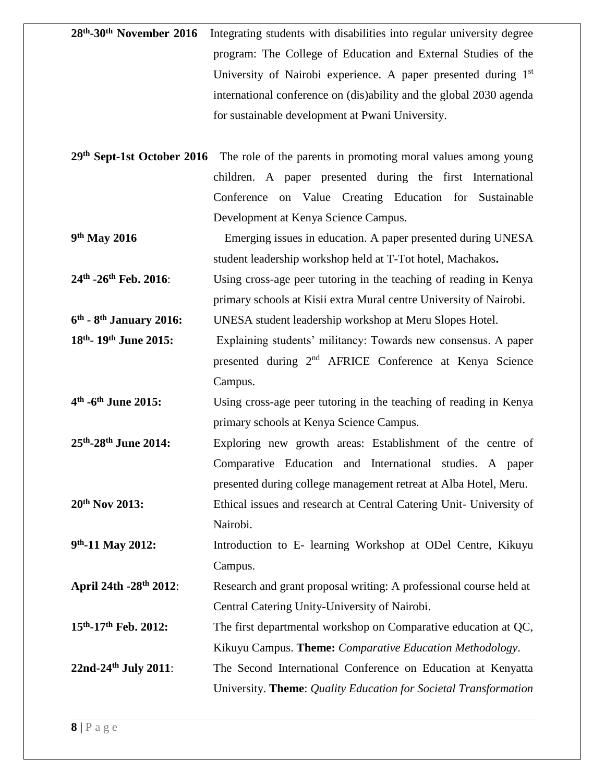| 28 <sup>th</sup> -30 <sup>th</sup> November 2016 Integrating students with disabilities into regular university degree |
|------------------------------------------------------------------------------------------------------------------------|
| program: The College of Education and External Studies of the                                                          |
| University of Nairobi experience. A paper presented during 1 <sup>st</sup>                                             |
| international conference on (dis)ability and the global 2030 agenda                                                    |
| for sustainable development at Pwani University.                                                                       |

- **29th Sept-1st October 2016** The role of the parents in promoting moral values among young children. A paper presented during the first International Conference on Value Creating Education for Sustainable Development at Kenya Science Campus.
- 9<sup>th</sup> May 2016 **Emerging issues in education. A paper presented during UNESA** student leadership workshop held at T-Tot hotel, Machakos**.**

**24th** Using cross-age peer tutoring in the teaching of reading in Kenya primary schools at Kisii extra Mural centre University of Nairobi.

- **6 th - 8 UNESA student leadership workshop at Meru Slopes Hotel.**
- **18th** Explaining students' militancy: Towards new consensus. A paper presented during 2nd AFRICE Conference at Kenya Science Campus.
- **4 th -6** Using cross-age peer tutoring in the teaching of reading in Kenya primary schools at Kenya Science Campus.
- **25th** Exploring new growth areas: Establishment of the centre of Comparative Education and International studies. A paper presented during college management retreat at Alba Hotel, Meru. **20th Nov 2013:** Ethical issues and research at Central Catering Unit- University of
- Nairobi.
- **9 th** Introduction to E- learning Workshop at ODel Centre, Kikuyu Campus.
- **April 24th -28th 2012**: Research and grant proposal writing: A professional course held at Central Catering Unity-University of Nairobi.
- **15th** The first departmental workshop on Comparative education at QC, Kikuyu Campus. **Theme:** *Comparative Education Methodology*.
- **22nd-24th July 2011**: The Second International Conference on Education at Kenyatta University. **Theme**: *Quality Education for Societal Transformation*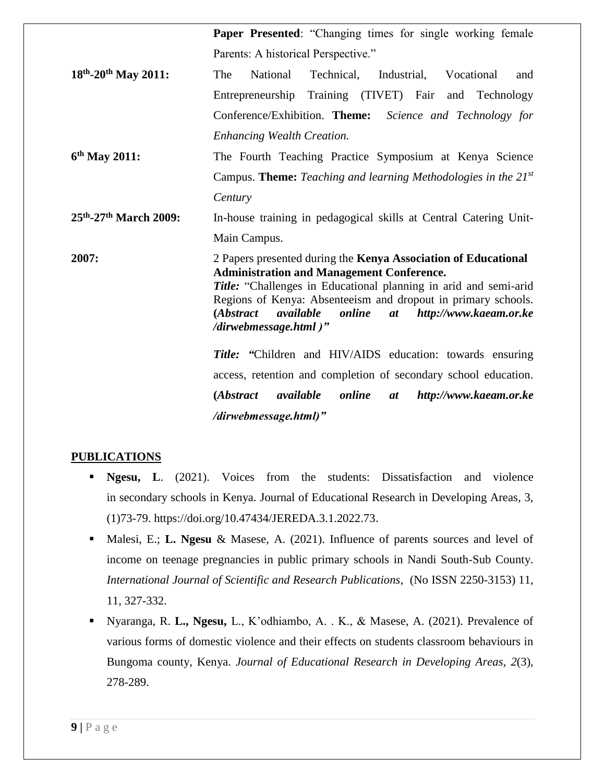|                         | Paper Presented: "Changing times for single working female                                                                                                                                                                                                                                                                                           |
|-------------------------|------------------------------------------------------------------------------------------------------------------------------------------------------------------------------------------------------------------------------------------------------------------------------------------------------------------------------------------------------|
|                         | Parents: A historical Perspective."                                                                                                                                                                                                                                                                                                                  |
| $18th - 20th$ May 2011: | The<br>National<br>Technical, Industrial,<br>Vocational<br>and                                                                                                                                                                                                                                                                                       |
|                         | Entrepreneurship Training (TIVET) Fair<br>and Technology                                                                                                                                                                                                                                                                                             |
|                         | Conference/Exhibition. Theme: Science and Technology for                                                                                                                                                                                                                                                                                             |
|                         | <b>Enhancing Wealth Creation.</b>                                                                                                                                                                                                                                                                                                                    |
| 6th May 2011:           | The Fourth Teaching Practice Symposium at Kenya Science                                                                                                                                                                                                                                                                                              |
|                         | Campus. Theme: Teaching and learning Methodologies in the $21^{st}$                                                                                                                                                                                                                                                                                  |
|                         | Century                                                                                                                                                                                                                                                                                                                                              |
| 25th-27th March 2009:   | In-house training in pedagogical skills at Central Catering Unit-                                                                                                                                                                                                                                                                                    |
|                         | Main Campus.                                                                                                                                                                                                                                                                                                                                         |
| 2007:                   | 2 Papers presented during the Kenya Association of Educational<br><b>Administration and Management Conference.</b><br>Title: "Challenges in Educational planning in arid and semi-arid<br>Regions of Kenya: Absenteeism and dropout in primary schools.<br>(Abstract<br>available<br>online<br>http://www.kaeam.or.ke<br>at<br>/dirwebmessage.html)" |
|                         | <b>Title:</b> "Children and HIV/AIDS education: towards ensuring                                                                                                                                                                                                                                                                                     |
|                         | access, retention and completion of secondary school education.                                                                                                                                                                                                                                                                                      |
|                         | available<br>online<br>http://www.kaeam.or.ke<br>( <i>Abstract</i><br>at                                                                                                                                                                                                                                                                             |
|                         | /dirwebmessage.html)"                                                                                                                                                                                                                                                                                                                                |

### **PUBLICATIONS**

- **Ngesu, L.** (2021). Voices from the students: Dissatisfaction and violence in secondary schools in Kenya. Journal of Educational Research in Developing Areas, 3, (1)73-79. https://doi.org/10.47434/JEREDA.3.1.2022.73.
- Malesi, E.; **L. Ngesu** & Masese, A. (2021). Influence of parents sources and level of income on teenage pregnancies in public primary schools in Nandi South-Sub County. *International Journal of Scientific and Research Publications*, (No ISSN 2250-3153) 11, 11, 327-332.
- Nyaranga, R. **L., Ngesu,** L., K'odhiambo, A. . K., & Masese, A. (2021). Prevalence of various forms of domestic violence and their effects on students classroom behaviours in Bungoma county, Kenya. *Journal of Educational Research in Developing Areas*, *2*(3), 278-289.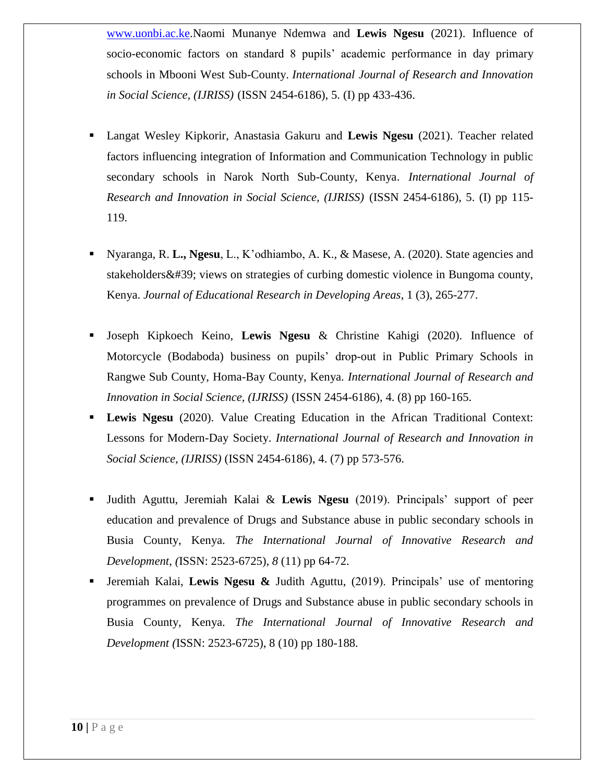[www.uonbi.ac.ke.](http://www.uonbi.ac.ke/)Naomi Munanye Ndemwa and **Lewis Ngesu** (2021). Influence of socio-economic factors on standard 8 pupils' academic performance in day primary schools in Mbooni West Sub-County. *International Journal of Research and Innovation in Social Science, (IJRISS)* (ISSN 2454-6186), 5. (I) pp 433-436.

- Langat Wesley Kipkorir, Anastasia Gakuru and **Lewis Ngesu** (2021). Teacher related factors influencing integration of Information and Communication Technology in public secondary schools in Narok North Sub-County, Kenya. *International Journal of Research and Innovation in Social Science, (IJRISS)* (ISSN 2454-6186), 5. (I) pp 115- 119.
- Nyaranga, R. **L., Ngesu**, L., K'odhiambo, A. K., & Masese, A. (2020). State agencies and stakeholders' views on strategies of curbing domestic violence in Bungoma county, Kenya. *Journal of Educational Research in Developing Areas*, 1 (3), 265-277.
- Joseph Kipkoech Keino, **Lewis Ngesu** & Christine Kahigi (2020). Influence of Motorcycle (Bodaboda) business on pupils' drop-out in Public Primary Schools in Rangwe Sub County, Homa-Bay County, Kenya. *International Journal of Research and Innovation in Social Science, (IJRISS)* (ISSN 2454-6186), 4. (8) pp 160-165.
- **Lewis Ngesu** (2020). Value Creating Education in the African Traditional Context: Lessons for Modern-Day Society. *International Journal of Research and Innovation in Social Science, (IJRISS)* (ISSN 2454-6186), 4. (7) pp 573-576.
- Judith Aguttu, Jeremiah Kalai & **Lewis Ngesu** (2019). Principals' support of peer education and prevalence of Drugs and Substance abuse in public secondary schools in Busia County, Kenya. *The International Journal of Innovative Research and Development, (*ISSN: 2523-6725), *8* (11) pp 64-72.
- Jeremiah Kalai, **Lewis Ngesu &** Judith Aguttu, (2019). Principals' use of mentoring programmes on prevalence of Drugs and Substance abuse in public secondary schools in Busia County, Kenya. *The International Journal of Innovative Research and Development (*ISSN: 2523-6725), 8 (10) pp 180-188.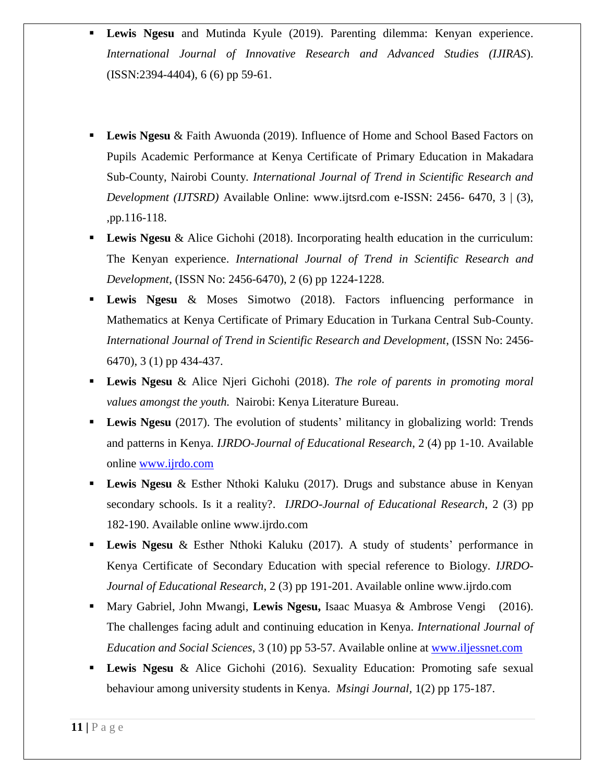- **Lewis Ngesu** and Mutinda Kyule (2019). Parenting dilemma: Kenyan experience. *International Journal of Innovative Research and Advanced Studies (IJIRAS*). (ISSN:2394-4404), 6 (6) pp 59-61.
- **Lewis Ngesu** & Faith Awuonda (2019). Influence of Home and School Based Factors on Pupils Academic Performance at Kenya Certificate of Primary Education in Makadara Sub-County, Nairobi County*. International Journal of Trend in Scientific Research and Development (IJTSRD)* Available Online: www.ijtsrd.com e-ISSN: 2456- 6470, 3 | (3), ,pp.116-118.
- **Lewis Ngesu** & Alice Gichohi (2018). Incorporating health education in the curriculum: The Kenyan experience. *International Journal of Trend in Scientific Research and Development*, (ISSN No: 2456-6470), 2 (6) pp 1224-1228.
- **Lewis Ngesu** & Moses Simotwo (2018). Factors influencing performance in Mathematics at Kenya Certificate of Primary Education in Turkana Central Sub-County. *International Journal of Trend in Scientific Research and Development*, (ISSN No: 2456- 6470), 3 (1) pp 434-437.
- **Lewis Ngesu** & Alice Njeri Gichohi (2018). *The role of parents in promoting moral values amongst the youth.* Nairobi: Kenya Literature Bureau.
- **Lewis Ngesu** (2017). The evolution of students' militancy in globalizing world: Trends and patterns in Kenya. *IJRDO-Journal of Educational Research*, 2 (4) pp 1-10. Available online [www.ijrdo.com](http://www.ijrdo.com/)
- **Lewis Ngesu** & Esther Nthoki Kaluku (2017). Drugs and substance abuse in Kenyan secondary schools. Is it a reality?. *IJRDO-Journal of Educational Research*, 2 (3) pp 182-190. Available online www.ijrdo.com
- Lewis Ngesu & Esther Nthoki Kaluku (2017). A study of students' performance in Kenya Certificate of Secondary Education with special reference to Biology*. IJRDO-Journal of Educational Research*, 2 (3) pp 191-201. Available online www.ijrdo.com
- Mary Gabriel, John Mwangi, **Lewis Ngesu,** Isaac Muasya & Ambrose Vengi (2016). The challenges facing adult and continuing education in Kenya. *International Journal of Education and Social Sciences*, 3 (10) pp 53-57. Available online at [www.iljessnet.com](http://www.iljessnet.com/)
- **Lewis Ngesu** & Alice Gichohi (2016). Sexuality Education: Promoting safe sexual behaviour among university students in Kenya. *Msingi Journal,* 1(2) pp 175-187.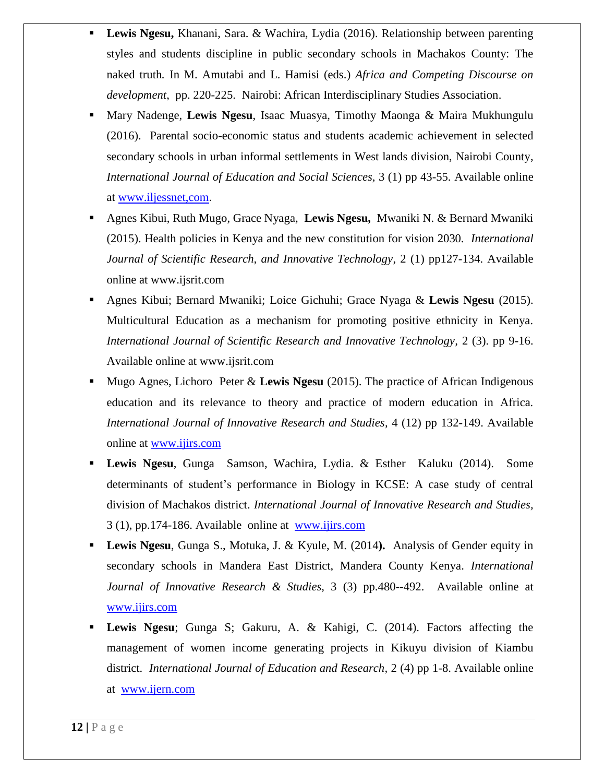- **Lewis Ngesu,** Khanani, Sara. & Wachira, Lydia (2016). Relationship between parenting styles and students discipline in public secondary schools in Machakos County: The naked truth*.* In M. Amutabi and L. Hamisi (eds.) *Africa and Competing Discourse on development*, pp. 220-225. Nairobi: African Interdisciplinary Studies Association.
- Mary Nadenge, **Lewis Ngesu**, Isaac Muasya, Timothy Maonga & Maira Mukhungulu (2016). Parental socio-economic status and students academic achievement in selected secondary schools in urban informal settlements in West lands division, Nairobi County, *International Journal of Education and Social Sciences*, 3 (1) pp 43-55. Available online at [www.iljessnet,com](http://www.iljessnet,com/).
- Agnes Kibui, Ruth Mugo, Grace Nyaga, **Lewis Ngesu,** Mwaniki N. & Bernard Mwaniki (2015). Health policies in Kenya and the new constitution for vision 2030*. International Journal of Scientific Research, and Innovative Technology*, 2 (1) pp127-134. Available online at www.ijsrit.com
- Agnes Kibui; Bernard Mwaniki; Loice Gichuhi; Grace Nyaga & **Lewis Ngesu** (2015). Multicultural Education as a mechanism for promoting positive ethnicity in Kenya*. International Journal of Scientific Research and Innovative Technology,* 2 (3). pp 9-16. Available online at www.ijsrit.com
- Mugo Agnes, Lichoro Peter & **Lewis Ngesu** (2015). The practice of African Indigenous education and its relevance to theory and practice of modern education in Africa*. International Journal of Innovative Research and Studies,* 4 (12) pp 132-149. Available online at [www.ijirs.com](http://www.ijirs.com/)
- **Lewis Ngesu**, Gunga Samson, Wachira, Lydia. & Esther Kaluku (2014). Some determinants of student's performance in Biology in KCSE: A case study of central division of Machakos district. *International Journal of Innovative Research and Studies,* 3 (1), pp.174-186. Available online at [www.ijirs.com](http://www.ijirs.com/)
- **Lewis Ngesu**, Gunga S., Motuka, J. & Kyule, M. (2014**).** Analysis of Gender equity in secondary schools in Mandera East District, Mandera County Kenya. *International Journal of Innovative Research & Studies,* 3 (3) pp.480--492. Available online at [www.ijirs.com](http://www.ijirs.com/)
- **Lewis Ngesu**; Gunga S; Gakuru, A. & Kahigi, C. (2014). Factors affecting the management of women income generating projects in Kikuyu division of Kiambu district. *International Journal of Education and Research,* 2 (4) pp 1-8. Available online at [www.ijern.com](http://www.ijern.com/)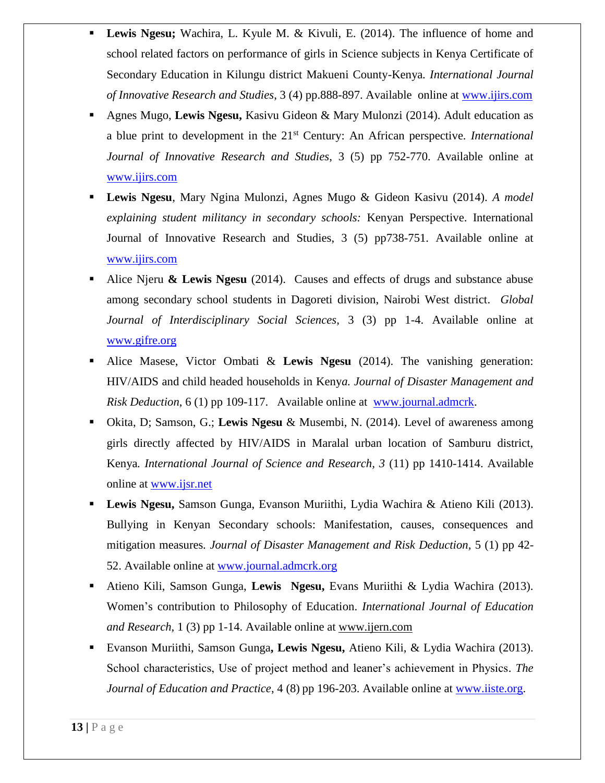- **Lewis Ngesu;** Wachira, L. Kyule M. & Kivuli, E. (2014). The influence of home and school related factors on performance of girls in Science subjects in Kenya Certificate of Secondary Education in Kilungu district Makueni County-Kenya*. International Journal of Innovative Research and Studies*, 3 (4) pp.888-897. Available online at [www.ijirs.com](http://www.ijirs.com/)
- Agnes Mugo, **Lewis Ngesu,** Kasivu Gideon & Mary Mulonzi (2014). Adult education as a blue print to development in the 21st Century: An African perspective*. International Journal of Innovative Research and Studies*, 3 (5) pp 752-770. Available online at [www.ijirs.com](http://www.ijirs.com/)
- **Lewis Ngesu**, Mary Ngina Mulonzi, Agnes Mugo & Gideon Kasivu (2014). *A model explaining student militancy in secondary schools:* Kenyan Perspective. International Journal of Innovative Research and Studies, 3 (5) pp738-751. Available online at [www.ijirs.com](http://www.ijirs.com/)
- Alice Njeru **& Lewis Ngesu** (2014). Causes and effects of drugs and substance abuse among secondary school students in Dagoreti division, Nairobi West district. *Global Journal of Interdisciplinary Social Sciences,* 3 (3) pp 1-4. Available online at [www.gifre.org](http://www.gifre.org/)
- Alice Masese, Victor Ombati & **Lewis Ngesu** (2014). The vanishing generation: HIV/AIDS and child headed households in Keny*a. Journal of Disaster Management and Risk Deduction*, 6 (1) pp 109-117. Available online at [www.journal.admcrk.](http://www.journal.admcrk/)
- Okita, D; Samson, G.; **Lewis Ngesu** & Musembi, N. (2014). Level of awareness among girls directly affected by HIV/AIDS in Maralal urban location of Samburu district, Kenya*. International Journal of Science and Research, 3* (11) pp 1410-1414. Available online at [www.ijsr.net](http://www.ijsr.net/)
- **Lewis Ngesu,** Samson Gunga, Evanson Muriithi, Lydia Wachira & Atieno Kili (2013). Bullying in Kenyan Secondary schools: Manifestation, causes, consequences and mitigation measures*. Journal of Disaster Management and Risk Deduction,* 5 (1) pp 42- 52. Available online at [www.journal.admcrk.org](http://www.journal.admcrk.org/)
- Atieno Kili, Samson Gunga, **Lewis Ngesu,** Evans Muriithi & Lydia Wachira (2013). Women's contribution to Philosophy of Education. *International Journal of Education and Research,* 1 (3) pp 1-14. Available online at [www.ijern.com](http://www.ijern.com/)
- Evanson Muriithi, Samson Gunga**, Lewis Ngesu,** Atieno Kili, & Lydia Wachira (2013). School characteristics, Use of project method and leaner's achievement in Physics. *The Journal of Education and Practice*, 4 (8) pp 196-203. Available online at [www.iiste.org.](http://www.iiste.org/)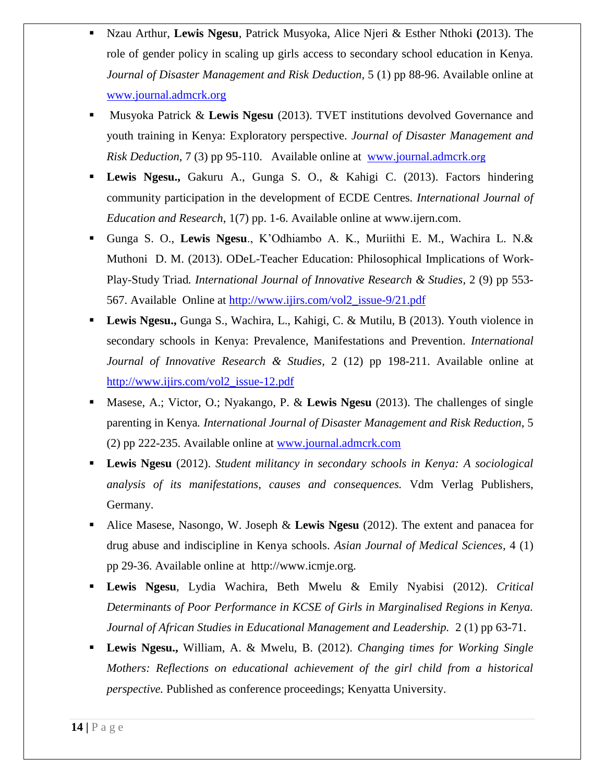- Nzau Arthur, **Lewis Ngesu**, Patrick Musyoka, Alice Njeri & Esther Nthoki **(**2013). The role of gender policy in scaling up girls access to secondary school education in Kenya*. Journal of Disaster Management and Risk Deduction,* 5 (1) pp 88-96. Available online at [www.journal.admcrk.org](http://www.journal.admcrk.org/)
- Musyoka Patrick & **Lewis Ngesu** (2013). TVET institutions devolved Governance and youth training in Kenya: Exploratory perspective*. Journal of Disaster Management and Risk Deduction*, 7 (3) pp 95-110. Available online at [www.journal.admcrk](http://www.journal.admcrk.org/).org
- **Lewis Ngesu.,** Gakuru A., Gunga S. O., & Kahigi C. (2013). Factors hindering community participation in the development of ECDE Centres*. International Journal of Education and Research*, 1(7) pp. 1-6. Available online at www.ijern.com.
- Gunga S. O., **Lewis Ngesu**., K'Odhiambo A. K., Muriithi E. M., Wachira L. N.& Muthoni D. M. (2013). ODeL-Teacher Education: Philosophical Implications of Work-Play-Study Triad*. International Journal of Innovative Research & Studies,* 2 (9) pp 553- 567. Available Online at [http://www.ijirs.com/vol2\\_issue-9/21.pdf](http://www.ijirs.com/vol2_issue-9/21.pdf)
- **Lewis Ngesu.,** Gunga S., Wachira, L., Kahigi, C. & Mutilu, B (2013). Youth violence in secondary schools in Kenya: Prevalence, Manifestations and Prevention. *International Journal of Innovative Research & Studies*, 2 (12) pp 198-211. Available online at [http://www.ijirs.com/vol2\\_issue-12.pdf](http://www.ijirs.com/vol2_issue-12.pdf)
- Masese, A.; Victor, O.; Nyakango, P. & **Lewis Ngesu** (2013). The challenges of single parenting in Kenya*. International Journal of Disaster Management and Risk Reduction*, 5 (2) pp 222-235. Available online at [www.journal.admcrk.com](http://www.journal.admcrk.com/)
- **Lewis Ngesu** (2012). *Student militancy in secondary schools in Kenya: A sociological analysis of its manifestations, causes and consequences.* Vdm Verlag Publishers, Germany.
- Alice Masese, Nasongo, W. Joseph & **Lewis Ngesu** (2012). The extent and panacea for drug abuse and indiscipline in Kenya schools. *Asian Journal of Medical Sciences*, 4 (1) pp 29-36. Available online at http://www.icmje.org.
- **Lewis Ngesu**, Lydia Wachira, Beth Mwelu & Emily Nyabisi (2012). *Critical Determinants of Poor Performance in KCSE of Girls in Marginalised Regions in Kenya. Journal of African Studies in Educational Management and Leadership.* 2 (1) pp 63-71.
- **Lewis Ngesu.,** William, A. & Mwelu, B. (2012). *Changing times for Working Single Mothers: Reflections on educational achievement of the girl child from a historical perspective.* Published as conference proceedings; Kenyatta University.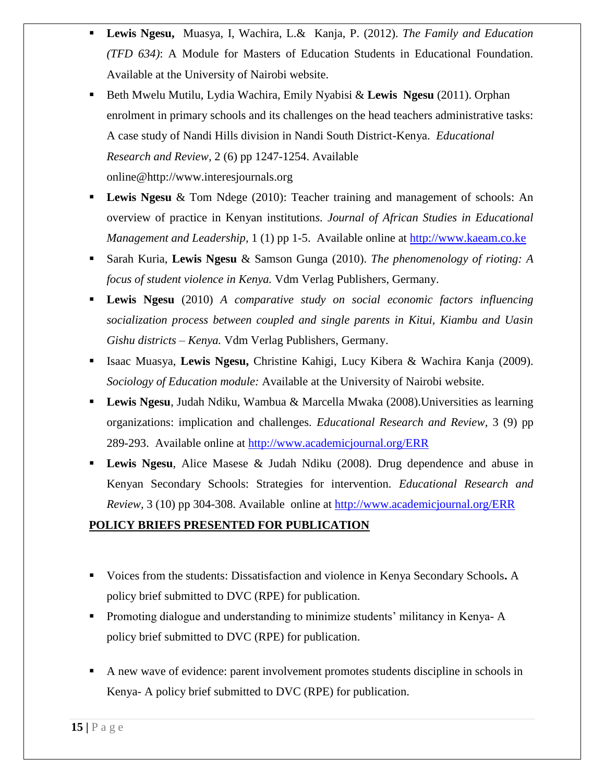- **Lewis Ngesu,** Muasya, I, Wachira, L.& Kanja, P. (2012). *The Family and Education (TFD 634)*: A Module for Masters of Education Students in Educational Foundation. Available at the University of Nairobi website.
- Beth Mwelu Mutilu, Lydia Wachira, Emily Nyabisi & **Lewis Ngesu** (2011). Orphan enrolment in primary schools and its challenges on the head teachers administrative tasks: A case study of Nandi Hills division in Nandi South District-Kenya. *Educational Research and Review,* 2 (6) pp 1247-1254. Available online@http://www.interesjournals.org
- Lewis Ngesu & Tom Ndege (2010): Teacher training and management of schools: An overview of practice in Kenyan institution*s. Journal of African Studies in Educational Management and Leadership,* 1 (1) pp 1-5. Available online at [http://www.kaeam.co.ke](http://www.kaeam.co.ke/)
- Sarah Kuria, **Lewis Ngesu** & Samson Gunga (2010). *The phenomenology of rioting: A focus of student violence in Kenya.* Vdm Verlag Publishers, Germany.
- **Lewis Ngesu** (2010) *A comparative study on social economic factors influencing socialization process between coupled and single parents in Kitui, Kiambu and Uasin Gishu districts – Kenya.* Vdm Verlag Publishers, Germany.
- Isaac Muasya, **Lewis Ngesu,** Christine Kahigi, Lucy Kibera & Wachira Kanja (2009). *Sociology of Education module:* Available at the University of Nairobi website.
- **Lewis Ngesu**, Judah Ndiku, Wambua & Marcella Mwaka (2008).Universities as learning organizations: implication and challenges*. Educational Research and Review,* 3 (9) pp 289-293. Available online at<http://www.academicjournal.org/ERR>
- **Lewis Ngesu**, Alice Masese & Judah Ndiku (2008). Drug dependence and abuse in Kenyan Secondary Schools: Strategies for intervention*. Educational Research and Review,* 3 (10) pp 304-308. Available online at<http://www.academicjournal.org/ERR>

# **POLICY BRIEFS PRESENTED FOR PUBLICATION**

- Voices from the students: Dissatisfaction and violence in Kenya Secondary Schools**.** A policy brief submitted to DVC (RPE) for publication.
- Promoting dialogue and understanding to minimize students' militancy in Kenya- A policy brief submitted to DVC (RPE) for publication.
- A new wave of evidence: parent involvement promotes students discipline in schools in Kenya- A policy brief submitted to DVC (RPE) for publication.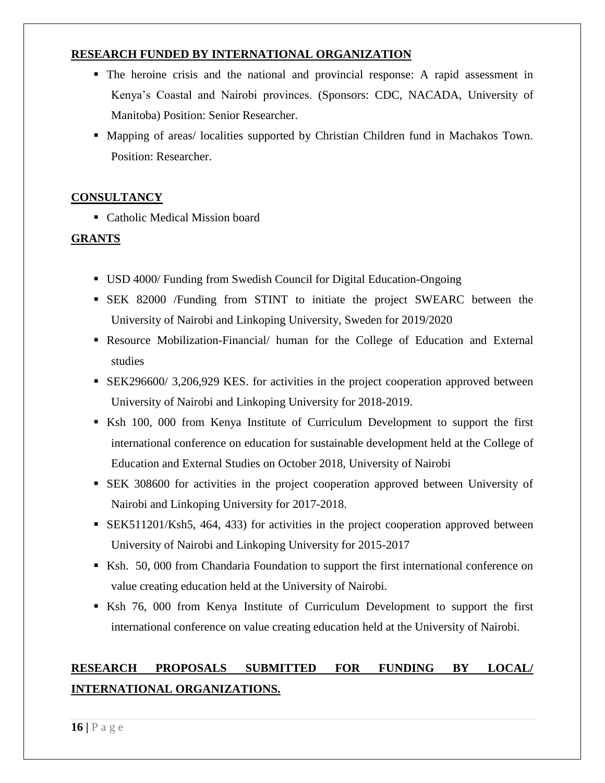## **RESEARCH FUNDED BY INTERNATIONAL ORGANIZATION**

- The heroine crisis and the national and provincial response: A rapid assessment in Kenya's Coastal and Nairobi provinces. (Sponsors: CDC, NACADA, University of Manitoba) Position: Senior Researcher.
- Mapping of areas/ localities supported by Christian Children fund in Machakos Town. Position: Researcher.

## **CONSULTANCY**

■ Catholic Medical Mission board

# **GRANTS**

- USD 4000/ Funding from Swedish Council for Digital Education-Ongoing
- SEK 82000 /Funding from STINT to initiate the project SWEARC between the University of Nairobi and Linkoping University, Sweden for 2019/2020
- Resource Mobilization-Financial/ human for the College of Education and External studies
- SEK296600/ 3,206,929 KES. for activities in the project cooperation approved between University of Nairobi and Linkoping University for 2018-2019.
- Ksh 100, 000 from Kenya Institute of Curriculum Development to support the first international conference on education for sustainable development held at the College of Education and External Studies on October 2018, University of Nairobi
- SEK 308600 for activities in the project cooperation approved between University of Nairobi and Linkoping University for 2017-2018.
- SEK511201/Ksh5, 464, 433) for activities in the project cooperation approved between University of Nairobi and Linkoping University for 2015-2017
- Ksh. 50, 000 from Chandaria Foundation to support the first international conference on value creating education held at the University of Nairobi.
- Ksh 76, 000 from Kenya Institute of Curriculum Development to support the first international conference on value creating education held at the University of Nairobi.

# **RESEARCH PROPOSALS SUBMITTED FOR FUNDING BY LOCAL/ INTERNATIONAL ORGANIZATIONS.**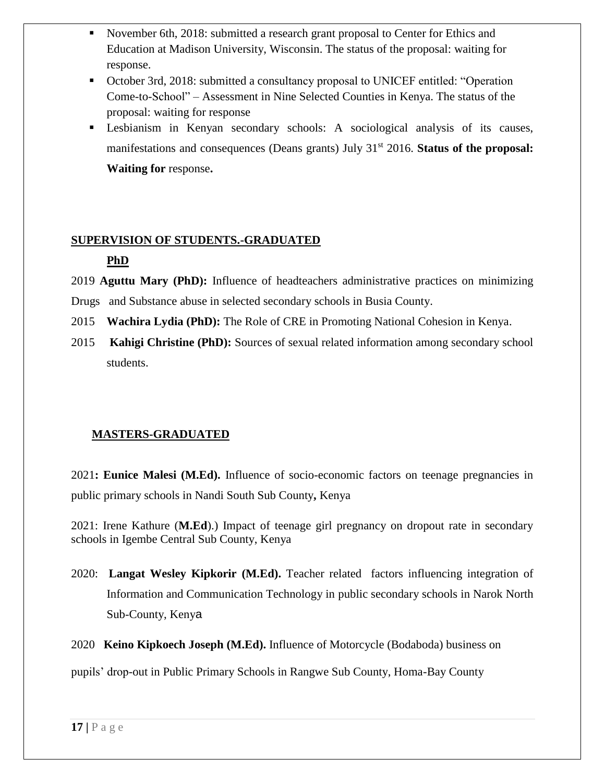- November 6th, 2018: submitted a research grant proposal to Center for Ethics and Education at Madison University, Wisconsin. The status of the proposal: waiting for response.
- October 3rd, 2018: submitted a consultancy proposal to UNICEF entitled: "Operation Come-to-School" – Assessment in Nine Selected Counties in Kenya. The status of the proposal: waiting for response
- Lesbianism in Kenyan secondary schools: A sociological analysis of its causes, manifestations and consequences (Deans grants) July 31<sup>st</sup> 2016. **Status of the proposal: Waiting for** response**.**

## **SUPERVISION OF STUDENTS.-GRADUATED**

# **PhD**

- 2019 **Aguttu Mary (PhD):** Influence of headteachers administrative practices on minimizing
- Drugs and Substance abuse in selected secondary schools in Busia County.
- 2015 **Wachira Lydia (PhD):** The Role of CRE in Promoting National Cohesion in Kenya.
- 2015 **Kahigi Christine (PhD):** Sources of sexual related information among secondary school students.

# **MASTERS-GRADUATED**

2021**: Eunice Malesi (M.Ed).** Influence of socio-economic factors on teenage pregnancies in public primary schools in Nandi South Sub County**,** Kenya

2021: Irene Kathure (**M.Ed**).) Impact of teenage girl pregnancy on dropout rate in secondary schools in Igembe Central Sub County, Kenya

2020: **Langat Wesley Kipkorir (M.Ed).** Teacher related factors influencing integration of Information and Communication Technology in public secondary schools in Narok North Sub-County, Kenya

2020 **Keino Kipkoech Joseph (M.Ed).** Influence of Motorcycle (Bodaboda) business on

pupils' drop-out in Public Primary Schools in Rangwe Sub County, Homa-Bay County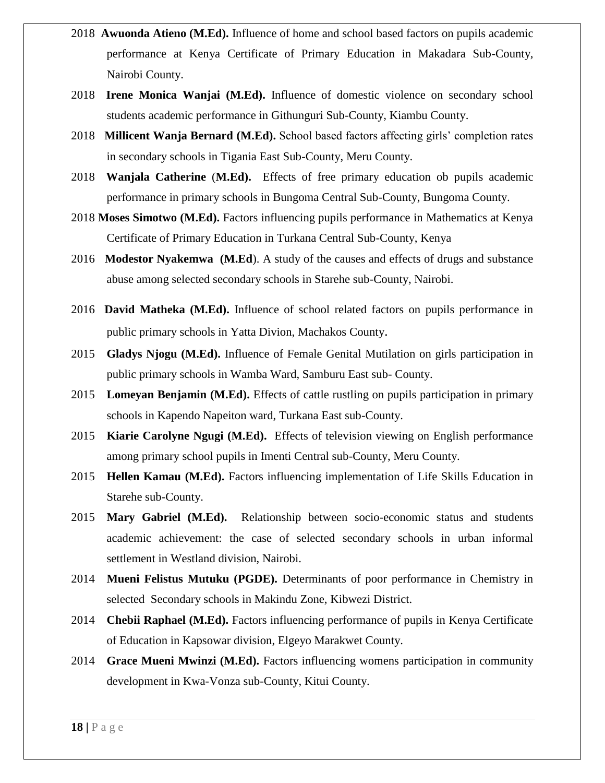- 2018 **Awuonda Atieno (M.Ed).** Influence of home and school based factors on pupils academic performance at Kenya Certificate of Primary Education in Makadara Sub-County, Nairobi County.
- 2018 **Irene Monica Wanjai (M.Ed).** Influence of domestic violence on secondary school students academic performance in Githunguri Sub-County, Kiambu County.
- 2018 **Millicent Wanja Bernard (M.Ed).** School based factors affecting girls' completion rates in secondary schools in Tigania East Sub-County, Meru County.
- 2018 **Wanjala Catherine** (**M.Ed).** Effects of free primary education ob pupils academic performance in primary schools in Bungoma Central Sub-County, Bungoma County.
- 2018 **Moses Simotwo (M.Ed).** Factors influencing pupils performance in Mathematics at Kenya Certificate of Primary Education in Turkana Central Sub-County, Kenya
- 2016 **Modestor Nyakemwa (M.Ed**). A study of the causes and effects of drugs and substance abuse among selected secondary schools in Starehe sub-County, Nairobi.
- 2016 **David Matheka (M.Ed).** Influence of school related factors on pupils performance in public primary schools in Yatta Divion, Machakos County.
- 2015 **Gladys Njogu (M.Ed).** Influence of Female Genital Mutilation on girls participation in public primary schools in Wamba Ward, Samburu East sub- County.
- 2015 **Lomeyan Benjamin (M.Ed).** Effects of cattle rustling on pupils participation in primary schools in Kapendo Napeiton ward, Turkana East sub-County.
- 2015 **Kiarie Carolyne Ngugi (M.Ed).** Effects of television viewing on English performance among primary school pupils in Imenti Central sub-County, Meru County.
- 2015 **Hellen Kamau (M.Ed).** Factors influencing implementation of Life Skills Education in Starehe sub-County.
- 2015 **Mary Gabriel (M.Ed).** Relationship between socio-economic status and students academic achievement: the case of selected secondary schools in urban informal settlement in Westland division, Nairobi.
- 2014 **Mueni Felistus Mutuku (PGDE).** Determinants of poor performance in Chemistry in selected Secondary schools in Makindu Zone, Kibwezi District.
- 2014 **Chebii Raphael (M.Ed).** Factors influencing performance of pupils in Kenya Certificate of Education in Kapsowar division, Elgeyo Marakwet County.
- 2014 **Grace Mueni Mwinzi (M.Ed).** Factors influencing womens participation in community development in Kwa-Vonza sub-County, Kitui County.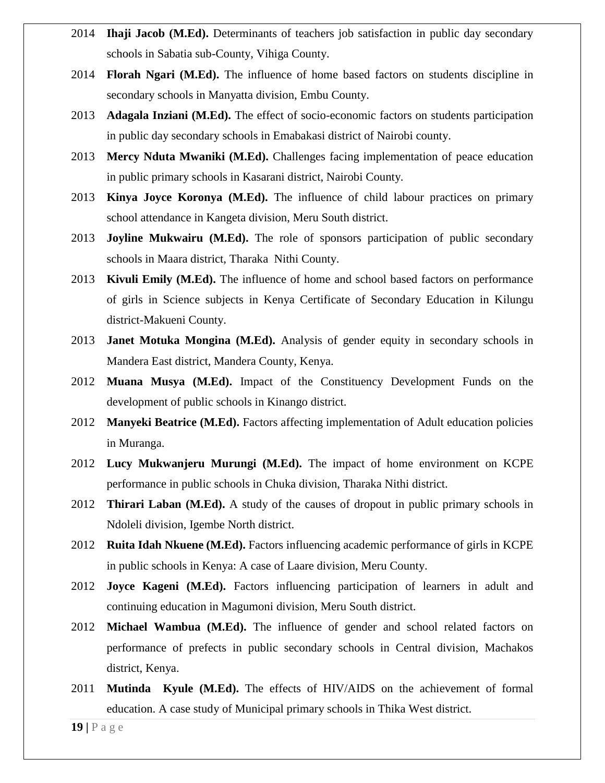- 2014 **Ihaji Jacob (M.Ed).** Determinants of teachers job satisfaction in public day secondary schools in Sabatia sub-County, Vihiga County.
- 2014 **Florah Ngari (M.Ed).** The influence of home based factors on students discipline in secondary schools in Manyatta division, Embu County.
- 2013 **Adagala Inziani (M.Ed).** The effect of socio-economic factors on students participation in public day secondary schools in Emabakasi district of Nairobi county.
- 2013 **Mercy Nduta Mwaniki (M.Ed).** Challenges facing implementation of peace education in public primary schools in Kasarani district, Nairobi County.
- 2013 **Kinya Joyce Koronya (M.Ed).** The influence of child labour practices on primary school attendance in Kangeta division, Meru South district.
- 2013 **Joyline Mukwairu (M.Ed).** The role of sponsors participation of public secondary schools in Maara district, Tharaka Nithi County.
- 2013 **Kivuli Emily (M.Ed).** The influence of home and school based factors on performance of girls in Science subjects in Kenya Certificate of Secondary Education in Kilungu district-Makueni County.
- 2013 **Janet Motuka Mongina (M.Ed).** Analysis of gender equity in secondary schools in Mandera East district, Mandera County, Kenya.
- 2012 **Muana Musya (M.Ed).** Impact of the Constituency Development Funds on the development of public schools in Kinango district.
- 2012 **Manyeki Beatrice (M.Ed).** Factors affecting implementation of Adult education policies in Muranga.
- 2012 **Lucy Mukwanjeru Murungi (M.Ed).** The impact of home environment on KCPE performance in public schools in Chuka division, Tharaka Nithi district.
- 2012 **Thirari Laban (M.Ed).** A study of the causes of dropout in public primary schools in Ndoleli division, Igembe North district.
- 2012 **Ruita Idah Nkuene (M.Ed).** Factors influencing academic performance of girls in KCPE in public schools in Kenya: A case of Laare division, Meru County.
- 2012 **Joyce Kageni (M.Ed).** Factors influencing participation of learners in adult and continuing education in Magumoni division, Meru South district.
- 2012 **Michael Wambua (M.Ed).** The influence of gender and school related factors on performance of prefects in public secondary schools in Central division, Machakos district, Kenya.
- 2011 **Mutinda Kyule (M.Ed).** The effects of HIV/AIDS on the achievement of formal education. A case study of Municipal primary schools in Thika West district.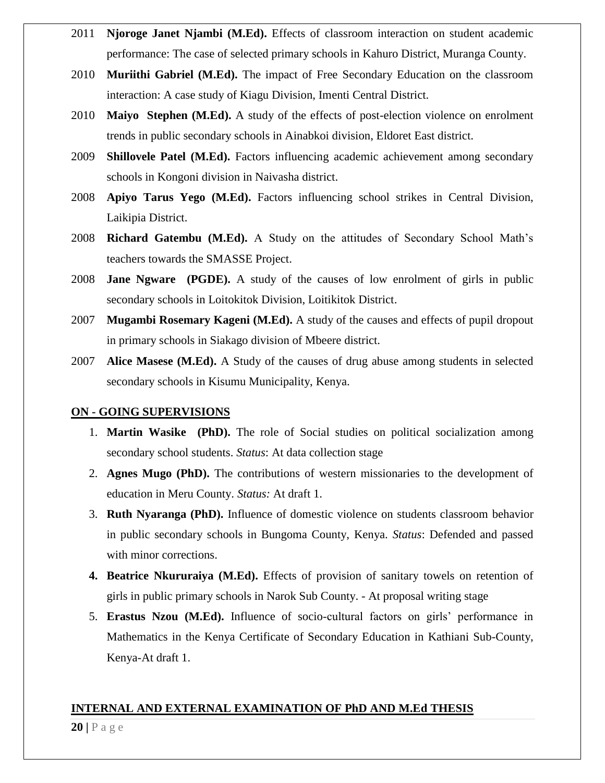- 2011 **Njoroge Janet Njambi (M.Ed).** Effects of classroom interaction on student academic performance: The case of selected primary schools in Kahuro District, Muranga County.
- 2010 **Muriithi Gabriel (M.Ed).** The impact of Free Secondary Education on the classroom interaction: A case study of Kiagu Division, Imenti Central District.
- 2010 **Maiyo Stephen (M.Ed).** A study of the effects of post-election violence on enrolment trends in public secondary schools in Ainabkoi division, Eldoret East district.
- 2009 **Shillovele Patel (M.Ed).** Factors influencing academic achievement among secondary schools in Kongoni division in Naivasha district.
- 2008 **Apiyo Tarus Yego (M.Ed).** Factors influencing school strikes in Central Division, Laikipia District.
- 2008 **Richard Gatembu (M.Ed).** A Study on the attitudes of Secondary School Math's teachers towards the SMASSE Project.
- 2008 **Jane Ngware (PGDE).** A study of the causes of low enrolment of girls in public secondary schools in Loitokitok Division, Loitikitok District.
- 2007 **Mugambi Rosemary Kageni (M.Ed).** A study of the causes and effects of pupil dropout in primary schools in Siakago division of Mbeere district.
- 2007 **Alice Masese (M.Ed).** A Study of the causes of drug abuse among students in selected secondary schools in Kisumu Municipality, Kenya.

### **ON - GOING SUPERVISIONS**

- 1. **Martin Wasike (PhD).** The role of Social studies on political socialization among secondary school students. *Status*: At data collection stage
- 2. **Agnes Mugo (PhD).** The contributions of western missionaries to the development of education in Meru County. *Status:* At draft 1.
- 3. **Ruth Nyaranga (PhD).** Influence of domestic violence on students classroom behavior in public secondary schools in Bungoma County, Kenya. *Status*: Defended and passed with minor corrections.
- **4. Beatrice Nkururaiya (M.Ed).** Effects of provision of sanitary towels on retention of girls in public primary schools in Narok Sub County. - At proposal writing stage
- 5. **Erastus Nzou (M.Ed).** Influence of socio-cultural factors on girls' performance in Mathematics in the Kenya Certificate of Secondary Education in Kathiani Sub-County, Kenya-At draft 1.

### **INTERNAL AND EXTERNAL EXAMINATION OF PhD AND M.Ed THESIS**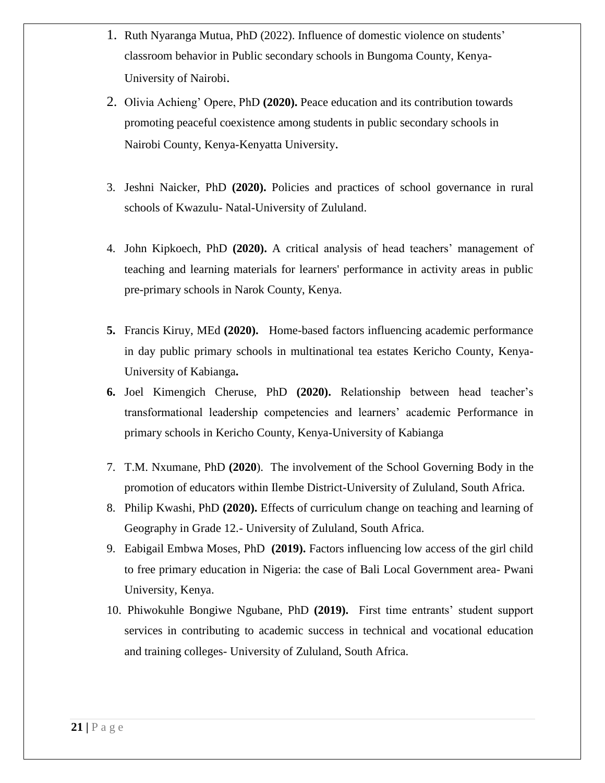- 1. Ruth Nyaranga Mutua, PhD (2022). Influence of domestic violence on students' classroom behavior in Public secondary schools in Bungoma County, Kenya-University of Nairobi.
- 2. Olivia Achieng' Opere, PhD **(2020).** Peace education and its contribution towards promoting peaceful coexistence among students in public secondary schools in Nairobi County, Kenya-Kenyatta University.
- 3. Jeshni Naicker, PhD **(2020).** Policies and practices of school governance in rural schools of Kwazulu- Natal-University of Zululand.
- 4. John Kipkoech, PhD **(2020).** A critical analysis of head teachers' management of teaching and learning materials for learners' performance in activity areas in public pre-primary schools in Narok County, Kenya.
- **5.** Francis Kiruy, MEd **(2020).** Home-based factors influencing academic performance in day public primary schools in multinational tea estates Kericho County, Kenya-University of Kabianga**.**
- **6.** Joel Kimengich Cheruse, PhD **(2020).** Relationship between head teacher's transformational leadership competencies and learners' academic Performance in primary schools in Kericho County, Kenya-University of Kabianga
- 7. T.M. Nxumane, PhD **(2020**). The involvement of the School Governing Body in the promotion of educators within Ilembe District-University of Zululand, South Africa.
- 8. Philip Kwashi, PhD **(2020).** Effects of curriculum change on teaching and learning of Geography in Grade 12.- University of Zululand, South Africa.
- 9. Eabigail Embwa Moses, PhD **(2019).** Factors influencing low access of the girl child to free primary education in Nigeria: the case of Bali Local Government area- Pwani University, Kenya.
- 10. Phiwokuhle Bongiwe Ngubane, PhD **(2019).** First time entrants' student support services in contributing to academic success in technical and vocational education and training colleges- University of Zululand, South Africa.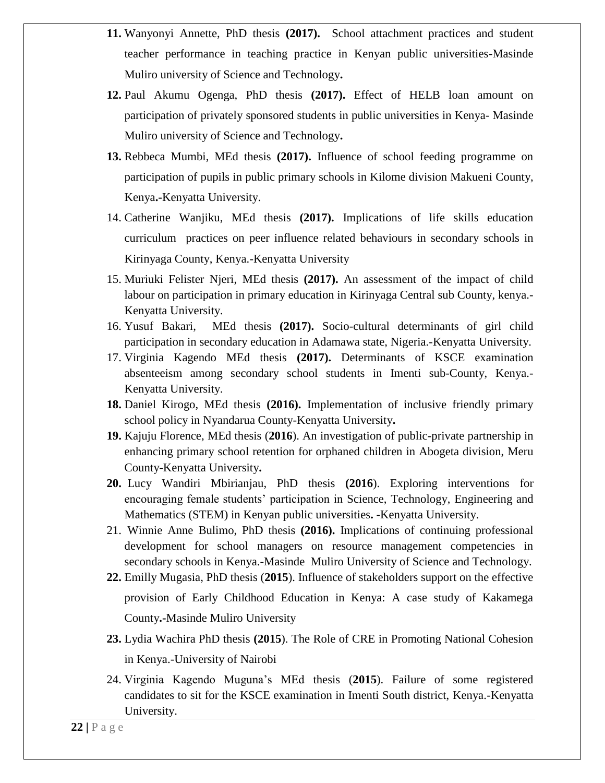- **11.** Wanyonyi Annette, PhD thesis **(2017).** School attachment practices and student teacher performance in teaching practice in Kenyan public universities-Masinde Muliro university of Science and Technology**.**
- **12.** Paul Akumu Ogenga, PhD thesis **(2017).** Effect of HELB loan amount on participation of privately sponsored students in public universities in Kenya- Masinde Muliro university of Science and Technology**.**
- **13.** Rebbeca Mumbi, MEd thesis **(2017).** Influence of school feeding programme on participation of pupils in public primary schools in Kilome division Makueni County, Kenya**.-**Kenyatta University.
- 14. Catherine Wanjiku, MEd thesis **(2017).** Implications of life skills education curriculum practices on peer influence related behaviours in secondary schools in Kirinyaga County, Kenya.-Kenyatta University
- 15. Muriuki Felister Njeri, MEd thesis **(2017).** An assessment of the impact of child labour on participation in primary education in Kirinyaga Central sub County, kenya.- Kenyatta University.
- 16. Yusuf Bakari, MEd thesis **(2017).** Socio-cultural determinants of girl child participation in secondary education in Adamawa state, Nigeria.-Kenyatta University.
- 17. Virginia Kagendo MEd thesis **(2017).** Determinants of KSCE examination absenteeism among secondary school students in Imenti sub-County, Kenya.- Kenyatta University.
- **18.** Daniel Kirogo, MEd thesis **(2016).** Implementation of inclusive friendly primary school policy in Nyandarua County-Kenyatta University**.**
- **19.** Kajuju Florence, MEd thesis (**2016**). An investigation of public-private partnership in enhancing primary school retention for orphaned children in Abogeta division, Meru County-Kenyatta University**.**
- **20.** Lucy Wandiri Mbirianjau, PhD thesis **(2016**). Exploring interventions for encouraging female students' participation in Science, Technology, Engineering and Mathematics (STEM) in Kenyan public universities**. -**Kenyatta University.
- 21. Winnie Anne Bulimo, PhD thesis **(2016).** Implications of continuing professional development for school managers on resource management competencies in secondary schools in Kenya.-Masinde Muliro University of Science and Technology.
- **22.** Emilly Mugasia, PhD thesis (**2015**). Influence of stakeholders support on the effective provision of Early Childhood Education in Kenya: A case study of Kakamega County**.-**Masinde Muliro University
- **23.** Lydia Wachira PhD thesis **(2015**). The Role of CRE in Promoting National Cohesion in Kenya.-University of Nairobi
- 24. Virginia Kagendo Muguna's MEd thesis (**2015**). Failure of some registered candidates to sit for the KSCE examination in Imenti South district, Kenya.-Kenyatta University.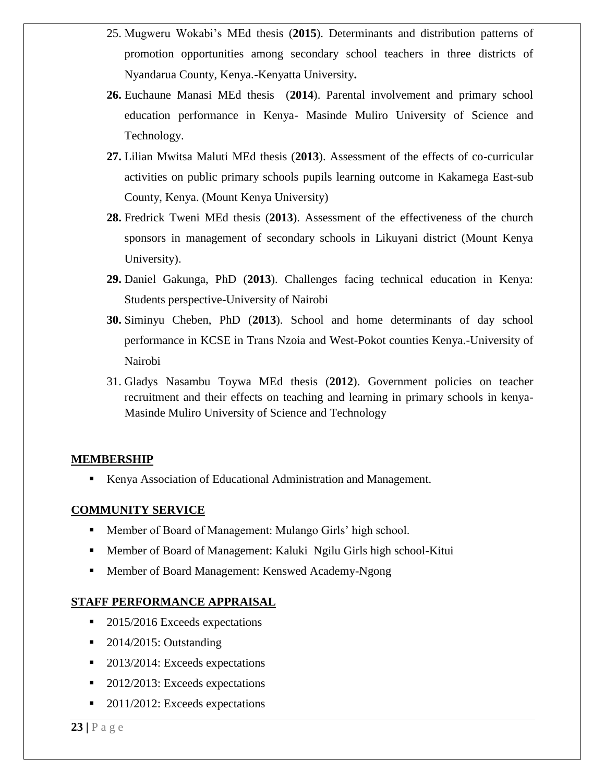- 25. Mugweru Wokabi's MEd thesis (**2015**). Determinants and distribution patterns of promotion opportunities among secondary school teachers in three districts of Nyandarua County, Kenya.-Kenyatta University**.**
- **26.** Euchaune Manasi MEd thesis (**2014**). Parental involvement and primary school education performance in Kenya- Masinde Muliro University of Science and Technology.
- **27.** Lilian Mwitsa Maluti MEd thesis (**2013**). Assessment of the effects of co-curricular activities on public primary schools pupils learning outcome in Kakamega East-sub County, Kenya. (Mount Kenya University)
- **28.** Fredrick Tweni MEd thesis (**2013**). Assessment of the effectiveness of the church sponsors in management of secondary schools in Likuyani district (Mount Kenya University).
- **29.** Daniel Gakunga, PhD (**2013**). Challenges facing technical education in Kenya: Students perspective-University of Nairobi
- **30.** Siminyu Cheben, PhD (**2013**). School and home determinants of day school performance in KCSE in Trans Nzoia and West-Pokot counties Kenya.-University of Nairobi
- 31. Gladys Nasambu Toywa MEd thesis (**2012**). Government policies on teacher recruitment and their effects on teaching and learning in primary schools in kenya-Masinde Muliro University of Science and Technology

## **MEMBERSHIP**

■ Kenya Association of Educational Administration and Management.

## **COMMUNITY SERVICE**

- Member of Board of Management: Mulango Girls' high school.
- **Member of Board of Management: Kaluki Ngilu Girls high school-Kitui**
- Member of Board Management: Kenswed Academy-Ngong

### **STAFF PERFORMANCE APPRAISAL**

- 2015/2016 Exceeds expectations
- $\blacksquare$  2014/2015: Outstanding
- 2013/2014: Exceeds expectations
- 2012/2013: Exceeds expectations
- 2011/2012: Exceeds expectations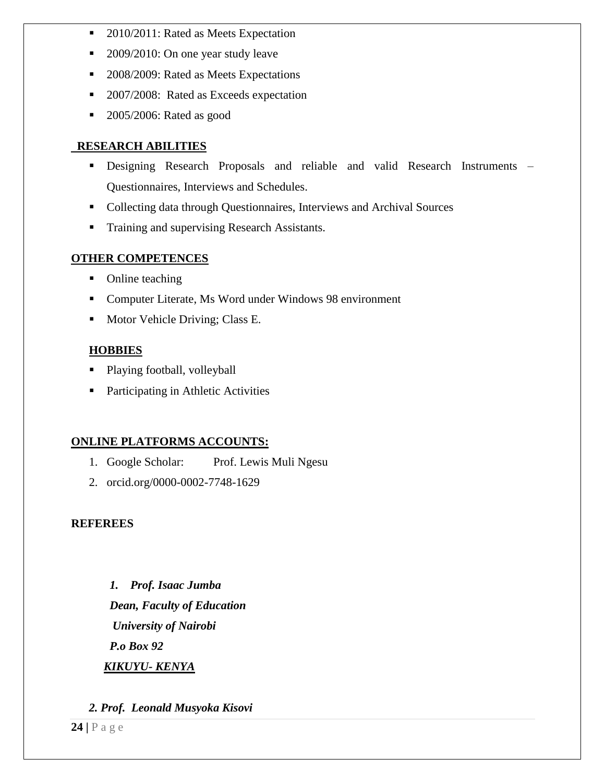- 2010/2011: Rated as Meets Expectation
- 2009/2010: On one year study leave
- 2008/2009: Rated as Meets Expectations
- 2007/2008: Rated as Exceeds expectation
- **2005/2006:** Rated as good

## **RESEARCH ABILITIES**

- Designing Research Proposals and reliable and valid Research Instruments Questionnaires, Interviews and Schedules.
- Collecting data through Questionnaires, Interviews and Archival Sources
- **Training and supervising Research Assistants.**

## **OTHER COMPETENCES**

- Online teaching
- Computer Literate, Ms Word under Windows 98 environment
- **Motor Vehicle Driving; Class E.**

## **HOBBIES**

- Playing football, volleyball
- Participating in Athletic Activities

# **ONLINE PLATFORMS ACCOUNTS:**

- 1. Google Scholar: Prof. Lewis Muli Ngesu
- 2. orcid.org/0000-0002-7748-1629

## **REFEREES**

*1. Prof. Isaac Jumba Dean, Faculty of Education University of Nairobi P.o Box 92 KIKUYU- KENYA*

# *2. Prof. Leonald Musyoka Kisovi*